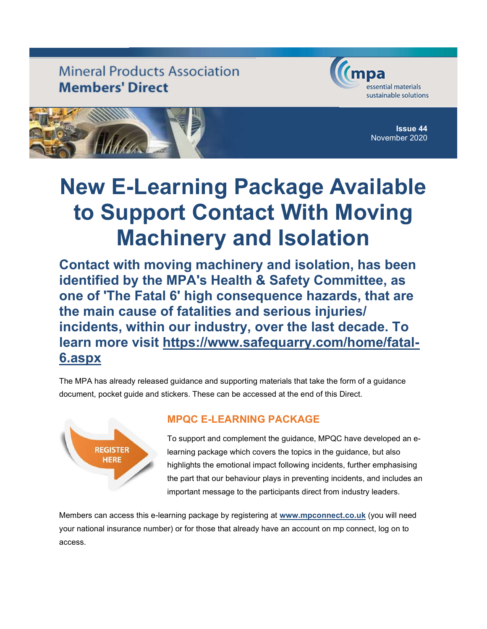## **Mineral Products Association Members' Direct**





Issue 44 November 2020

# New E-Learning Package Available to Support Contact With Moving Machinery and Isolation

Contact with moving machinery and isolation, has been identified by the MPA's Health & Safety Committee, as one of 'The Fatal 6' high consequence hazards, that are the main cause of fatalities and serious injuries/ incidents, within our industry, over the last decade. To learn more visit https://www.safequarry.com/home/fatal-6.aspx

The MPA has already released guidance and supporting materials that take the form of a guidance document, pocket guide and stickers. These can be accessed at the end of this Direct.



### MPQC E-LEARNING PACKAGE

To support and complement the guidance, MPQC have developed an elearning package which covers the topics in the guidance, but also highlights the emotional impact following incidents, further emphasising the part that our behaviour plays in preventing incidents, and includes an important message to the participants direct from industry leaders.

Members can access this e-learning package by registering at www.mpconnect.co.uk (you will need your national insurance number) or for those that already have an account on mp connect, log on to access.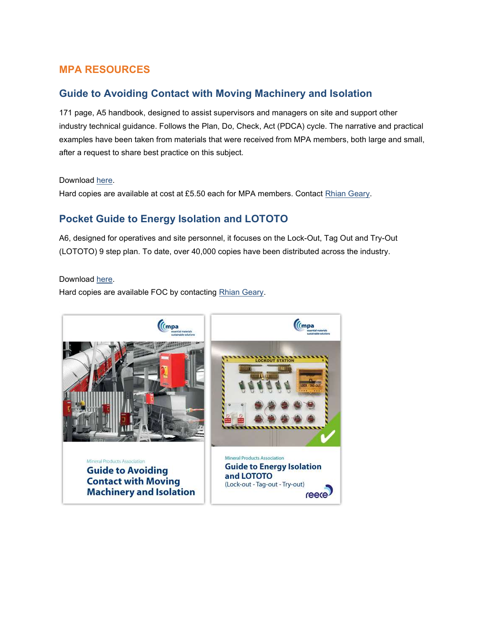#### MPA RESOURCES

#### Guide to Avoiding Contact with Moving Machinery and Isolation

171 page, A5 handbook, designed to assist supervisors and managers on site and support other industry technical guidance. Follows the Plan, Do, Check, Act (PDCA) cycle. The narrative and practical examples have been taken from materials that were received from MPA members, both large and small, after a request to share best practice on this subject.

Download here.

Hard copies are available at cost at £5.50 each for MPA members. Contact Rhian Geary.

### Pocket Guide to Energy Isolation and LOTOTO

A6, designed for operatives and site personnel, it focuses on the Lock-Out, Tag Out and Try-Out (LOTOTO) 9 step plan. To date, over 40,000 copies have been distributed across the industry.

Download here.

Hard copies are available FOC by contacting Rhian Geary.

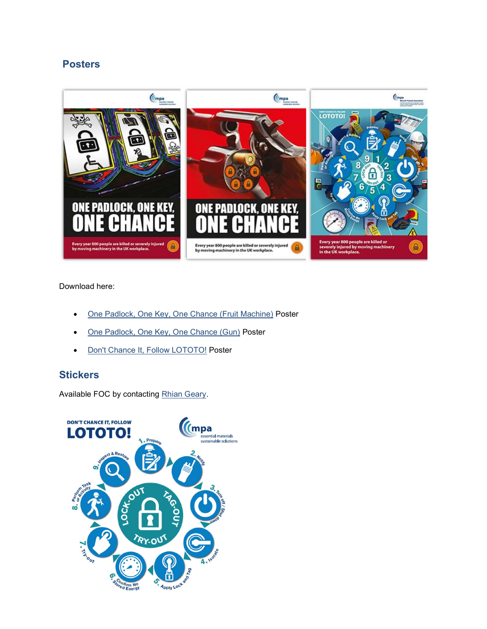#### Posters



#### Download here:

- One Padlock, One Key, One Chance (Fruit Machine) Poster
- One Padlock, One Key, One Chance (Gun) Poster
- Don't Chance It, Follow LOTOTO! Poster

#### **Stickers**

Available FOC by contacting Rhian Geary.